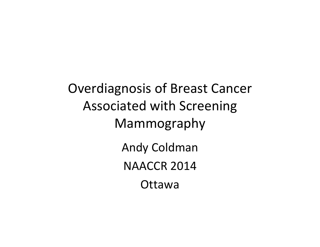Overdiagnosis of Breast Cancer Associated with Screening Mammography Andy Coldman NAACCR 2014 **Ottawa**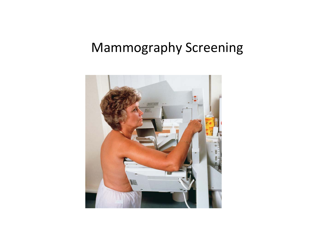## Mammography Screening

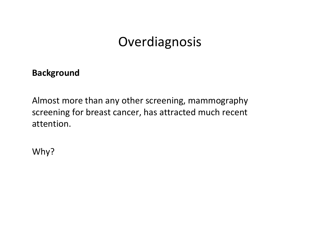### **Overdiagnosis**

#### **Background**

Almost more than any other screening, mammography screening for breast cancer, has attracted much recent attention.

Why?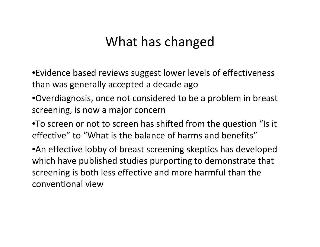### What has changed

•Evidence based reviews suggest lower levels of effectiveness than was generally accepted <sup>a</sup> decade ago

- •Overdiagnosis, once not considered to be <sup>a</sup> problem in breast screening, is now <sup>a</sup> major concern
- •To screen or not to screen has shifted from the question "Is it effective" to "What is the balance of harms and benefits"

•An effective lobby of breast screening skeptics has developed which have published studies purporting to demonstrate that screening is both less effective and more harmful than the conventional view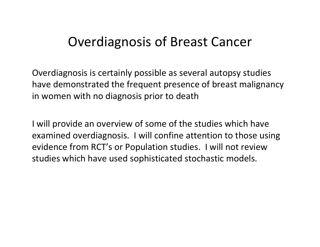### Overdiagnosis of Breast Cancer

Overdiagnosis is certainly possible as several autopsy studies have demonstrated the frequent presence of breast malignancy in women with no diagnosis prior to death

I will provide an overview of some of the studies which have examined overdiagnosis. I will confine attention to those using evidence from RCT's or Population studies. I will not review studies which have used sophisticated stochastic models.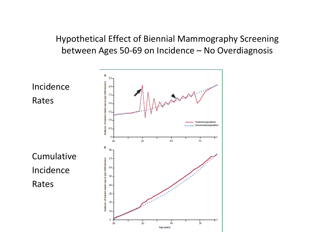Hypothetical Effect of Biennial Mammography Screening between Ages 50‐69 on Incidence – No Overdiagnosis

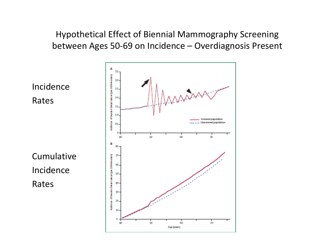Hypothetical Effect of Biennial Mammography Screening between Ages 50‐69 on Incidence – Overdiagnosis Present

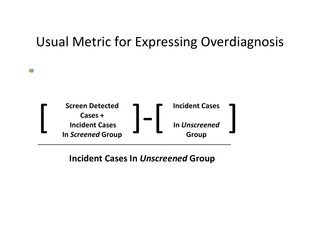### Usual Metric for Expressing Overdiagnosis



œ.

#### **Incident Cases In** *Unscreened* **Group**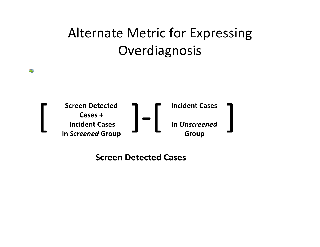# Alternate Metric for Expressing **Overdiagnosis**



œ.

**Screen Detected Cases**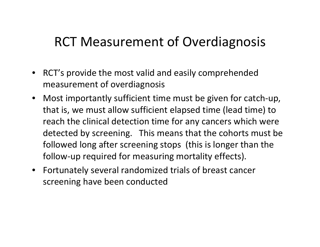### RCT Measurement of Overdiagnosis

- RCT's provide the most valid and easily comprehended measurement of overdiagnosis
- Most importantly sufficient time must be given for catch‐up, that is, we must allow sufficient elapsed time (lead time) to reach the clinical detection time for any cancers which were detected by screening. This means that the cohorts must be followed long after screening stops (this is longer than the follow‐up required for measuring mortality effects).
- Fortunately several randomized trials of breast cancer screening have been conducted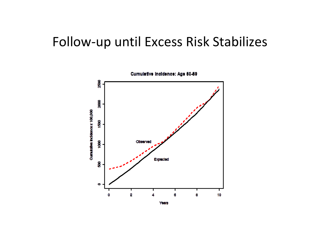### Follow‐up until Excess Risk Stabilizes

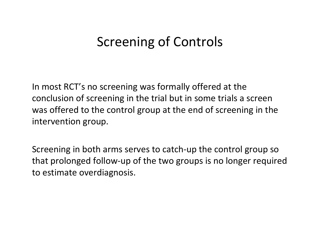### Screening of Controls

In most RCT's no screening was formally offered at the conclusion of screening in the trial but in some trials <sup>a</sup> screen was offered to the control group at the end of screening in the intervention group.

Screening in both arms serves to catch‐up the control group so that prolonged follow‐up of the two groups is no longer required to estimate overdiagnosis.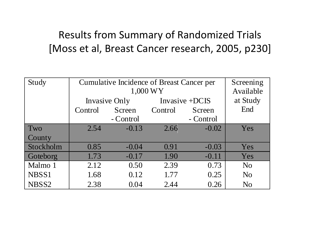### Results from Summary of Randomized Trials [Moss et al, Breast Cancer research, 2005, p230]

| Study     | Cumulative Incidence of Breast Cancer per | Screening |                  |           |                |
|-----------|-------------------------------------------|-----------|------------------|-----------|----------------|
|           |                                           | Available |                  |           |                |
|           | Invasive Only                             |           | Invasive $+DCIS$ |           | at Study       |
|           | Control                                   | Screen    | Control          | Screen    | End            |
|           |                                           | - Control |                  | - Control |                |
| Two       | 2.54                                      | $-0.13$   | 2.66             | $-0.02$   | Yes            |
| County    |                                           |           |                  |           |                |
| Stockholm | 0.85                                      | $-0.04$   | 0.91             | $-0.03$   | Yes            |
| Goteborg  | 1.73                                      | $-0.17$   | 1.90             | $-0.11$   | Yes            |
| Malmo 1   | 2.12                                      | 0.50      | 2.39             | 0.73      | N <sub>o</sub> |
| NBSS1     | 1.68                                      | 0.12      | 1.77             | 0.25      | N <sub>o</sub> |
| NBSS2     | 2.38                                      | 0.04      | 2.44             | 0.26      | N <sub>o</sub> |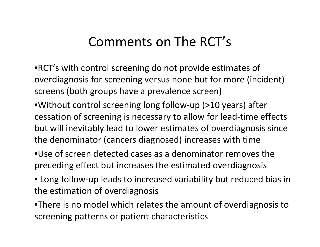### Comments on The RCT's

•RCT's with control screening do not provide estimates of overdiagnosis for screening versus none but for more (incident) screens (both groups have <sup>a</sup> prevalence screen)

- •Without control screening long follow‐up (>10 years) after cessation of screening is necessary to allow for lead‐time effects but will inevitably lead to lower estimates of overdiagnosis since the denominator (cancers diagnosed) increases with time
- •Use of screen detected cases as <sup>a</sup> denominator removes the preceding effect but increases the estimated overdiagnosis
- Long follow‐up leads to increased variability but reduced bias in the estimation of overdiagnosis

•There is no model which relates the amount of overdiagnosis to screening patterns or patient characteristics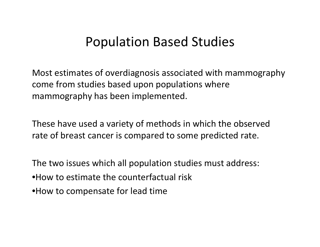### Population Based Studies

Most estimates of overdiagnosis associated with mammography come from studies based upon populations where mammography has been implemented.

These have used <sup>a</sup> variety of methods in which the observed rate of breast cancer is compared to some predicted rate.

The two issues which all population studies must address: •How to estimate the counterfactual risk •How to compensate for lead time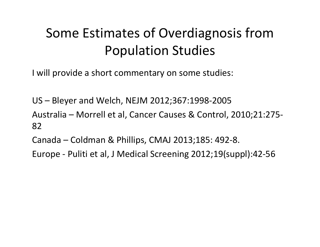# Some Estimates of Overdiagnosis from Population Studies

Iwill provide <sup>a</sup> short commentary on some studies:

US – Bleyer and Welch, NEJM 2012;367:1998‐2005

Australia – Morrell et al, Cancer Causes & Control, 2010;21:275‐ 82

Canada – Coldman & Phillips, CMAJ 2013;185: 492‐8.

Europe ‐ Puliti et al, J Medical Screening 2012;19(suppl):42‐56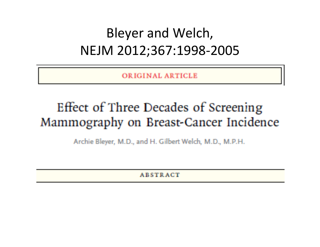## Bleyer and Welch, NEJM 2012;367:1998‐2005

ORIGINAL ARTICLE

### Effect of Three Decades of Screening Mammography on Breast-Cancer Incidence

Archie Bleyer, M.D., and H. Gilbert Welch, M.D., M.P.H.

**ABSTRACT**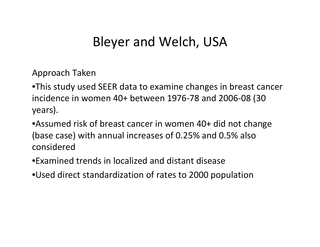### Bleyer and Welch, USA

Approach Taken

•This study used SEER data to examine changes in breast cancer incidence in women 40+ between 1976‐78 and 2006‐08 (30 years).

•Assumed risk of breast cancer in women 40+ did not change (base case) with annual increases of 0.25% and 0.5% also considered

•Examined trends in localized and distant disease

•Used direct standardization of rates to 2000 population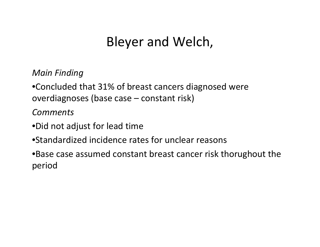## Bleyer and Welch,

*Main Finding*

•Concluded that 31% of breast cancers diagnosed were overdiagnoses (base case – constant risk)

*Comments*

- •Did not adjust for lead time
- •Standardized incidence rates for unclear reasons

•Base case assumed constant breast cancer risk thorughout the period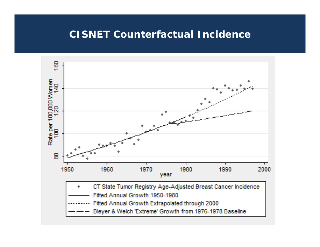#### **CISNET Counterfactual Incidence**

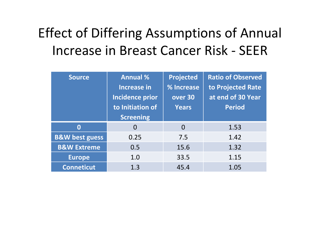# Effect of Differing Assumptions of Annual Increase in Breast Cancer Risk ‐ SEER

| <b>Source</b>             | <b>Annual %</b>        | <b>Projected</b> | <b>Ratio of Observed</b> |
|---------------------------|------------------------|------------------|--------------------------|
|                           | <b>Increase in</b>     | % Increase       | to Projected Rate        |
|                           | <b>Incidence prior</b> | over 30          | at end of 30 Year        |
|                           | to Initiation of       | <b>Years</b>     | <b>Period</b>            |
|                           | <b>Screening</b>       |                  |                          |
| $\bf{0}$                  | $\Omega$               | $\Omega$         | 1.53                     |
| <b>B&amp;W best guess</b> | 0.25                   | 7.5              | 1.42                     |
| <b>B&amp;W Extreme</b>    | 0.5                    | 15.6             | 1.32                     |
| <b>Europe</b>             | 1.0                    | 33.5             | 1.15                     |
| <b>Conneticut</b>         | 1.3                    | 45.4             | 1.05                     |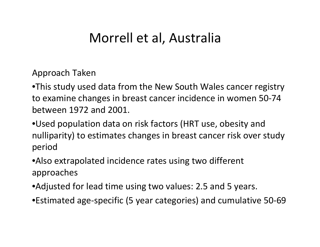### Morrell et al, Australia

Approach Taken

•This study used data from the New South Wales cancer registry to examine changes in breast cancer incidence in women 50‐74 between 1972 and 2001.

•Used population data on risk factors (HRT use, obesity and nulliparity) to estimates changes in breast cancer risk over study period

•Also extrapolated incidence rates using two different approaches

•Adjusted for lead time using two values: 2.5 and 5 years.

•Estimated age‐specific (5 year categories) and cumulative 50‐69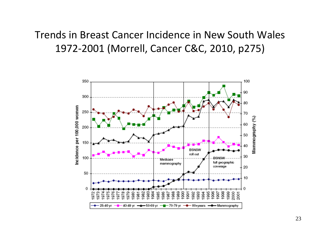### Trends in Breast Cancer Incidence in New South Wales ‐2001 (Morrell, Cancer C&C, 2010, p275)

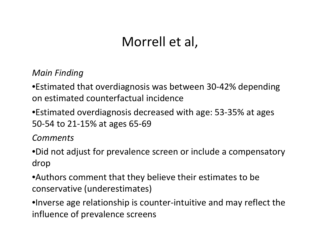### Morrell et al,

*Main Finding*

•Estimated that overdiagnosis was between 30‐42% depending on estimated counterfactual incidence

•Estimated overdiagnosis decreased with age: 53‐35% at ages 50‐54 to 21‐15% at ages 65‐69

*Comments*

•Did not adjust for prevalence screen or include <sup>a</sup> compensatory drop

•Authors comment that they believe their estimates to be conservative (underestimates)

•Inverse age relationship is counter‐intuitive and may reflect the influence of prevalence screens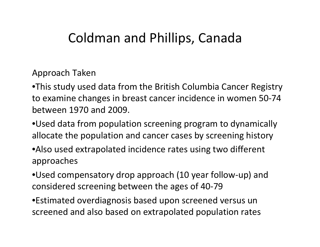### Coldman and Phillips, Canada

#### Approach Taken

•This study used data from the British Columbia Cancer Registry to examine changes in breast cancer incidence in women 50‐74 between 1970 and 2009.

•Used data from population screening program to dynamically allocate the population and cancer cases by screening history

•Also used extrapolated incidence rates using two different approaches

•Used compensatory drop approach (10 year follow‐up) and considered screening between the ages of 40‐79

•Estimated overdiagnosis based upon screened versus un screened and also based on extrapolated population rates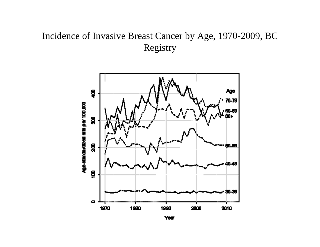#### Incidence of Invasive Breast Cancer by Age, 1970-2009, BC Registry

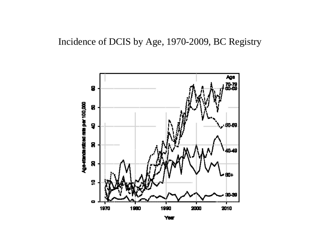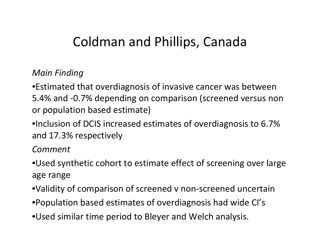### Coldman and Phillips, Canada

#### *Main Finding*

•Estimated that overdiagnosis of invasive cancer was between 5.4% and ‐0.7% depending on comparison (screened versus non or population based estimate)

•Inclusion of DCIS increased estimates of overdiagnosis to 6.7% and 17.3% respectively

*Comment*

- •Used synthetic cohort to estimate effect of screening over large age range
- •Validity of comparison of screened <sup>v</sup> non‐screened uncertain
- •Population based estimates of overdiagnosis had wide CI's
- •Used similar time period to Bleyer and Welch analysis.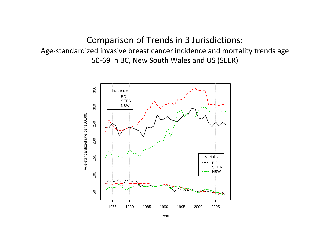#### Comparison of Trends in 3 Jurisdictions: Age‐standardized invasive breast cancer incidence and mortality trends age 50‐69 in BC, New South Wales and US (SEER)



Year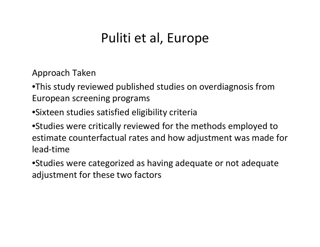### Puliti et al, Europe

Approach Taken

•This study reviewed published studies on overdiagnosis from European screening programs

•Sixteen studies satisfied eligibility criteria

•Studies were critically reviewed for the methods employed to estimate counterfactual rates and how adjustment was made for lead‐time

•Studies were categorized as having adequate or not adequate adjustment for these two factors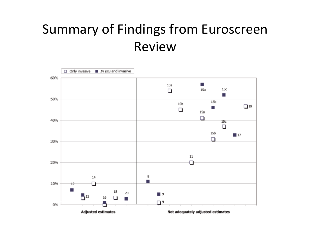## Summary of Findings from Euroscreen Review

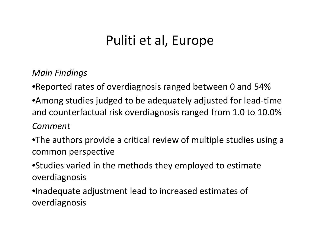## Puliti et al, Europe

*Main Findings*

•Reported rates of overdiagnosis ranged between 0 and 54%

•Among studies judged to be adequately adjusted for lead‐time and counterfactual risk overdiagnosis ranged from 1.0 to 10.0%

#### *Comment*

•The authors provide <sup>a</sup> critical review of multiple studies using <sup>a</sup> common perspective

•Studies varied in the methods they employed to estimate overdiagnosis

•Inadequate adjustment lead to increased estimates of overdiagnosis